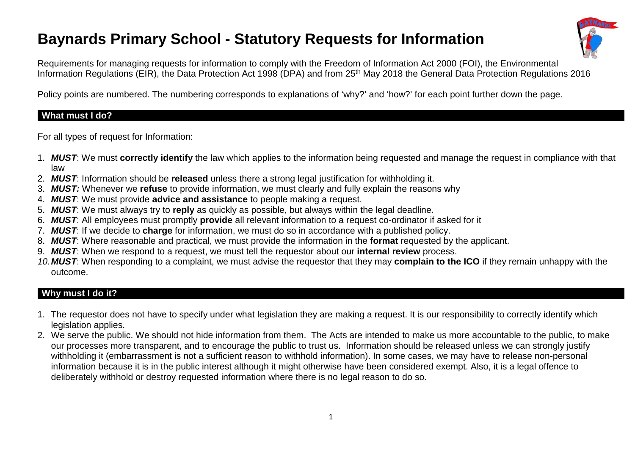# **Baynards Primary School - Statutory Requests for Information**



Requirements for managing requests for information to comply with the Freedom of Information Act 2000 (FOI), the Environmental Information Regulations (EIR), the Data Protection Act 1998 (DPA) and from 25<sup>th</sup> May 2018 the General Data Protection Regulations 2016

Policy points are numbered. The numbering corresponds to explanations of 'why?' and 'how?' for each point further down the page.

### **What must I do?**

For all types of request for Information:

- 1. *MUST*: We must **correctly identify** the law which applies to the information being requested and manage the request in compliance with that law
- 2. *MUST*: Information should be **released** unless there a strong legal justification for withholding it.
- 3. *MUST:* Whenever we **refuse** to provide information, we must clearly and fully explain the reasons why
- 4. *MUST*: We must provide **advice and assistance** to people making a request.
- 5. *MUST*: We must always try to **reply** as quickly as possible, but always within the legal deadline.
- 6. *MUST*: All employees must promptly **provide** all relevant information to a request co-ordinator if asked for it
- 7. *MUST*: If we decide to **charge** for information, we must do so in accordance with a published policy.
- 8. *MUST*: Where reasonable and practical, we must provide the information in the **format** requested by the applicant.
- 9. *MUST*: When we respond to a request, we must tell the requestor about our **internal review** process.
- *10.MUST*: When responding to a complaint, we must advise the requestor that they may **complain to the ICO** if they remain unhappy with the outcome.

## **Why must I do it?**

- 1. The requestor does not have to specify under what legislation they are making a request. It is our responsibility to correctly identify which legislation applies.
- 2. We serve the public. We should not hide information from them. The Acts are intended to make us more accountable to the public, to make our processes more transparent, and to encourage the public to trust us. Information should be released unless we can strongly justify withholding it (embarrassment is not a sufficient reason to withhold information). In some cases, we may have to release non-personal information because it is in the public interest although it might otherwise have been considered exempt. Also, it is a legal offence to deliberately withhold or destroy requested information where there is no legal reason to do so.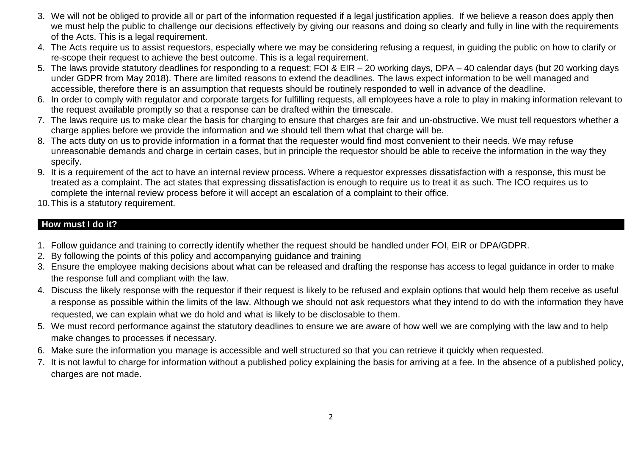- 3. We will not be obliged to provide all or part of the information requested if a legal justification applies. If we believe a reason does apply then we must help the public to challenge our decisions effectively by giving our reasons and doing so clearly and fully in line with the requirements of the Acts. This is a legal requirement.
- 4. The Acts require us to assist requestors, especially where we may be considering refusing a request, in guiding the public on how to clarify or re-scope their request to achieve the best outcome. This is a legal requirement.
- 5. The laws provide statutory deadlines for responding to a request; FOI & EIR 20 working days, DPA 40 calendar days (but 20 working days under GDPR from May 2018). There are limited reasons to extend the deadlines. The laws expect information to be well managed and accessible, therefore there is an assumption that requests should be routinely responded to well in advance of the deadline.
- 6. In order to comply with regulator and corporate targets for fulfilling requests, all employees have a role to play in making information relevant to the request available promptly so that a response can be drafted within the timescale.
- 7. The laws require us to make clear the basis for charging to ensure that charges are fair and un-obstructive. We must tell requestors whether a charge applies before we provide the information and we should tell them what that charge will be.
- 8. The acts duty on us to provide information in a format that the requester would find most convenient to their needs. We may refuse unreasonable demands and charge in certain cases, but in principle the requestor should be able to receive the information in the way they specify.
- 9. It is a requirement of the act to have an internal review process. Where a requestor expresses dissatisfaction with a response, this must be treated as a complaint. The act states that expressing dissatisfaction is enough to require us to treat it as such. The ICO requires us to complete the internal review process before it will accept an escalation of a complaint to their office.
- 10.This is a statutory requirement.

# **How must I do it?**

- 1. Follow guidance and training to correctly identify whether the request should be handled under FOI, EIR or DPA/GDPR.
- 2. By following the points of this policy and accompanying guidance and training
- 3. Ensure the employee making decisions about what can be released and drafting the response has access to legal guidance in order to make the response full and compliant with the law.
- 4. Discuss the likely response with the requestor if their request is likely to be refused and explain options that would help them receive as useful a response as possible within the limits of the law. Although we should not ask requestors what they intend to do with the information they have requested, we can explain what we do hold and what is likely to be disclosable to them.
- 5. We must record performance against the statutory deadlines to ensure we are aware of how well we are complying with the law and to help make changes to processes if necessary.
- 6. Make sure the information you manage is accessible and well structured so that you can retrieve it quickly when requested.
- 7. It is not lawful to charge for information without a published policy explaining the basis for arriving at a fee. In the absence of a published policy, charges are not made.